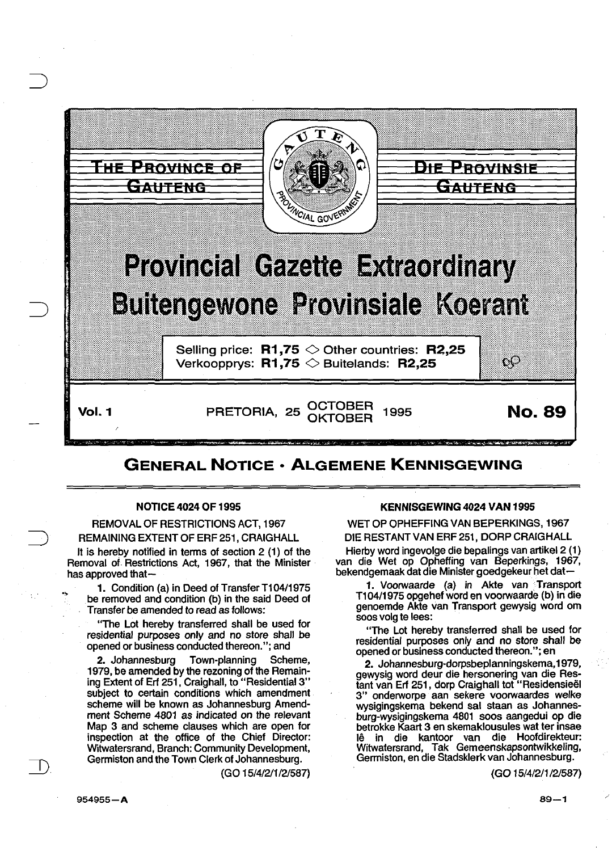

## GENERAL NOTICE • ALGEMENE KENNISGEWING

## NOTICE 4024 OF 1995

REMOVAL OF RESTRICTIONS ACT, 1967 REMAINING EXTENT OF ERF 251, CRAIGHALL

It is hereby notified in tenns of section 2 (1) of the Removal of. Restrictions Act, 1967, that the Minister has approved that-

1. Condition (a) in Deed of Transfer T104/1975 be removed and condition (b) in the said Deed of Transfer be amended to read as follows:

"The Lot hereby transferred shall be used for residential purposes only and no store shall be opened or business conducted thereon."; and

2. Johannesburg Town-planning Scheme, 1979, be amended by the rezoning of the Remaining Extent of Erf 251, Craighall, to "Residential3" subject to certain conditions which amendment scheme will be known as Johannesburg Amendment Scheme 4801 as indicated on the relevant Map 3 and scheme clauses which are open for inspection at the office of the Chief Director: Witwatersrand, Branch: Community Development, Germiston and the Town Clerk of Johannesburg.

(GO 15/4/2/1 12/587)

## KENNISGEWING 4024 VAN 1995

WET OP OPHEFFING VAN BEPERKINGS, 1967

DIE RESTANT VAN ERF 251, DORP CRAIGHALL

Hierby word ingevolge die bepalings van artikel 2 (1) van die Wet op Opheffing van Beperkings, 1967, bekendgemaak dat die Minister goedgekeur het dat-

1. Voorwaarde (a) in Akte van Transport T1 04/1975 opgehef word en voorwaarde (b) in die genoemde Akte van Transport gewysig word om soos volg te lees:

"The Lot hereby transferred shall be used for residential purposes only and no store shall be opened or business conducted thereon."; en

2. Johannesburg-dorpsbeplanningskema, 1979, gewysig word deur die hersonering van die Restant van Erf 251, dorp Craighall tot "Residensieel 3" onderworpe aan sekere voorwaardes welke wysigingskema bekend sal staan as Johannesburg-wysigingskema 4801 soos aangedui op die betrokke Kaart 3 en skemaklousules wat ter insae lê in die kantoor van die Hoofdirekteur: Witwatersrand, Tak Gemeenskapsontwikkeling, Genniston, en die Stadsklerk van Johannesburg.

(GO 15/4/211/2/587)

 $\mathbb{R}$